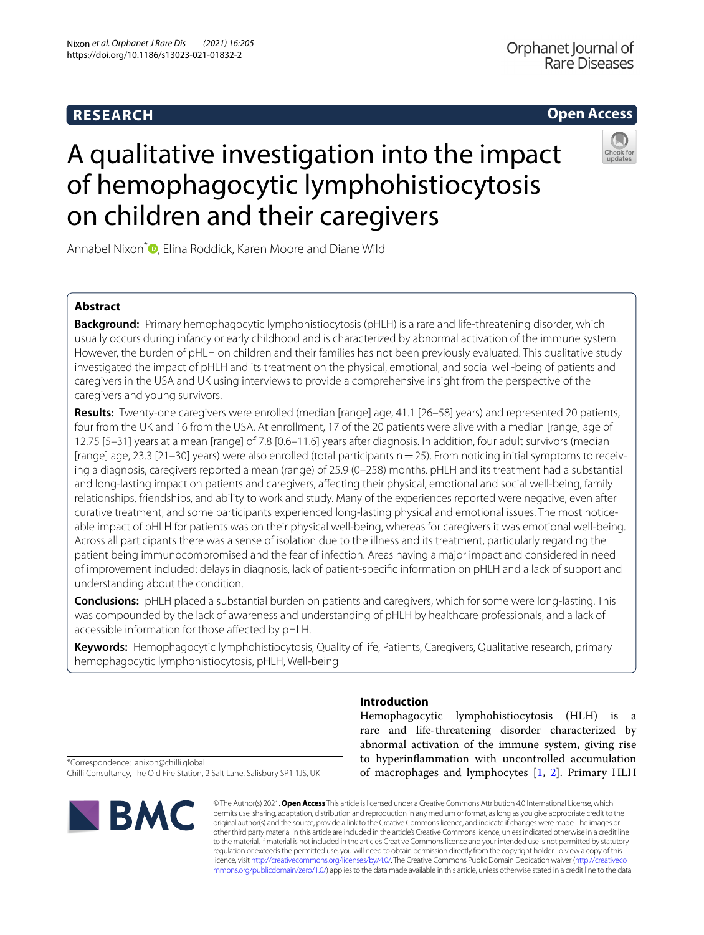## **RESEARCH**

## **Open Access**



# A qualitative investigation into the impact of hemophagocytic lymphohistiocytosis on children and their caregivers

Annabel Nixon<sup>\*</sup> **D**[,](http://orcid.org/0000-0003-3454-9491) Elina Roddick, Karen Moore and Diane Wild

### **Abstract**

**Background:** Primary hemophagocytic lymphohistiocytosis (pHLH) is a rare and life-threatening disorder, which usually occurs during infancy or early childhood and is characterized by abnormal activation of the immune system. However, the burden of pHLH on children and their families has not been previously evaluated. This qualitative study investigated the impact of pHLH and its treatment on the physical, emotional, and social well-being of patients and caregivers in the USA and UK using interviews to provide a comprehensive insight from the perspective of the caregivers and young survivors.

**Results:** Twenty-one caregivers were enrolled (median [range] age, 41.1 [26–58] years) and represented 20 patients, four from the UK and 16 from the USA. At enrollment, 17 of the 20 patients were alive with a median [range] age of 12.75 [5–31] years at a mean [range] of 7.8 [0.6–11.6] years after diagnosis. In addition, four adult survivors (median [range] age, 23.3 [21-30] years) were also enrolled (total participants n=25). From noticing initial symptoms to receiving a diagnosis, caregivers reported a mean (range) of 25.9 (0–258) months. pHLH and its treatment had a substantial and long-lasting impact on patients and caregivers, afecting their physical, emotional and social well-being, family relationships, friendships, and ability to work and study. Many of the experiences reported were negative, even after curative treatment, and some participants experienced long-lasting physical and emotional issues. The most noticeable impact of pHLH for patients was on their physical well-being, whereas for caregivers it was emotional well-being. Across all participants there was a sense of isolation due to the illness and its treatment, particularly regarding the patient being immunocompromised and the fear of infection. Areas having a major impact and considered in need of improvement included: delays in diagnosis, lack of patient-specifc information on pHLH and a lack of support and understanding about the condition.

**Conclusions:** pHLH placed a substantial burden on patients and caregivers, which for some were long-lasting. This was compounded by the lack of awareness and understanding of pHLH by healthcare professionals, and a lack of accessible information for those afected by pHLH.

**Keywords:** Hemophagocytic lymphohistiocytosis, Quality of life, Patients, Caregivers, Qualitative research, primary hemophagocytic lymphohistiocytosis, pHLH, Well-being

**Introduction**

Hemophagocytic lymphohistiocytosis (HLH) is a rare and life-threatening disorder characterized by abnormal activation of the immune system, giving rise to hyperinfammation with uncontrolled accumulation of macrophages and lymphocytes [\[1](#page-12-0), [2\]](#page-12-1). Primary HLH

\*Correspondence: anixon@chilli.global Chilli Consultancy, The Old Fire Station, 2 Salt Lane, Salisbury SP1 1JS, UK



© The Author(s) 2021. **Open Access** This article is licensed under a Creative Commons Attribution 4.0 International License, which permits use, sharing, adaptation, distribution and reproduction in any medium or format, as long as you give appropriate credit to the original author(s) and the source, provide a link to the Creative Commons licence, and indicate if changes were made. The images or other third party material in this article are included in the article's Creative Commons licence, unless indicated otherwise in a credit line to the material. If material is not included in the article's Creative Commons licence and your intended use is not permitted by statutory regulation or exceeds the permitted use, you will need to obtain permission directly from the copyright holder. To view a copy of this licence, visit [http://creativecommons.org/licenses/by/4.0/.](http://creativecommons.org/licenses/by/4.0/) The Creative Commons Public Domain Dedication waiver ([http://creativeco](http://creativecommons.org/publicdomain/zero/1.0/) [mmons.org/publicdomain/zero/1.0/](http://creativecommons.org/publicdomain/zero/1.0/)) applies to the data made available in this article, unless otherwise stated in a credit line to the data.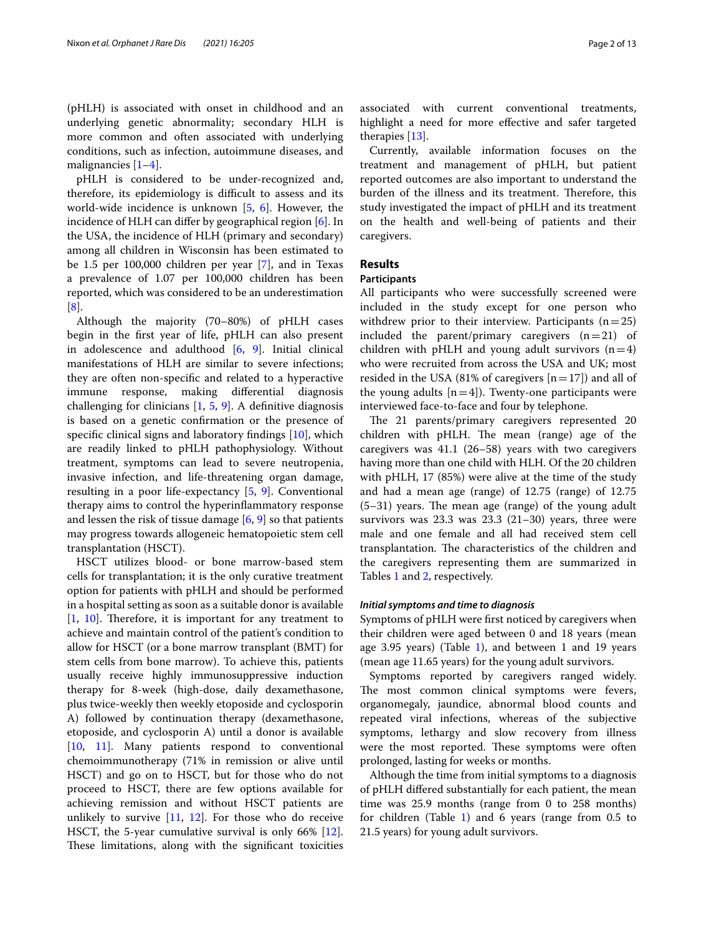(pHLH) is associated with onset in childhood and an underlying genetic abnormality; secondary HLH is more common and often associated with underlying conditions, such as infection, autoimmune diseases, and malignancies [[1–](#page-12-0)[4](#page-12-2)].

pHLH is considered to be under-recognized and, therefore, its epidemiology is difficult to assess and its world-wide incidence is unknown [\[5](#page-12-3), [6\]](#page-12-4). However, the incidence of HLH can difer by geographical region [\[6](#page-12-4)]. In the USA, the incidence of HLH (primary and secondary) among all children in Wisconsin has been estimated to be 1.5 per 100,000 children per year [\[7](#page-12-5)], and in Texas a prevalence of 1.07 per 100,000 children has been reported, which was considered to be an underestimation [[8\]](#page-12-6).

Although the majority (70–80%) of pHLH cases begin in the frst year of life, pHLH can also present in adolescence and adulthood [\[6,](#page-12-4) [9\]](#page-12-7). Initial clinical manifestations of HLH are similar to severe infections; they are often non-specifc and related to a hyperactive immune response, making diferential diagnosis challenging for clinicians  $[1, 5, 9]$  $[1, 5, 9]$  $[1, 5, 9]$  $[1, 5, 9]$  $[1, 5, 9]$  $[1, 5, 9]$  $[1, 5, 9]$ . A definitive diagnosis is based on a genetic confrmation or the presence of specifc clinical signs and laboratory fndings [[10\]](#page-12-8), which are readily linked to pHLH pathophysiology. Without treatment, symptoms can lead to severe neutropenia, invasive infection, and life-threatening organ damage, resulting in a poor life-expectancy [[5,](#page-12-3) [9](#page-12-7)]. Conventional therapy aims to control the hyperinfammatory response and lessen the risk of tissue damage  $[6, 9]$  $[6, 9]$  $[6, 9]$  $[6, 9]$  so that patients may progress towards allogeneic hematopoietic stem cell transplantation (HSCT).

HSCT utilizes blood- or bone marrow-based stem cells for transplantation; it is the only curative treatment option for patients with pHLH and should be performed in a hospital setting as soon as a suitable donor is available  $[1, 10]$  $[1, 10]$  $[1, 10]$  $[1, 10]$  $[1, 10]$ . Therefore, it is important for any treatment to achieve and maintain control of the patient's condition to allow for HSCT (or a bone marrow transplant (BMT) for stem cells from bone marrow). To achieve this, patients usually receive highly immunosuppressive induction therapy for 8-week (high-dose, daily dexamethasone, plus twice-weekly then weekly etoposide and cyclosporin A) followed by continuation therapy (dexamethasone, etoposide, and cyclosporin A) until a donor is available [[10,](#page-12-8) [11\]](#page-12-9). Many patients respond to conventional chemoimmunotherapy (71% in remission or alive until HSCT) and go on to HSCT, but for those who do not proceed to HSCT, there are few options available for achieving remission and without HSCT patients are unlikely to survive  $[11, 12]$  $[11, 12]$  $[11, 12]$  $[11, 12]$ . For those who do receive HSCT, the 5-year cumulative survival is only 66% [\[12](#page-12-10)]. These limitations, along with the significant toxicities

associated with current conventional treatments, highlight a need for more efective and safer targeted therapies [[13](#page-12-11)].

Currently, available information focuses on the treatment and management of pHLH, but patient reported outcomes are also important to understand the burden of the illness and its treatment. Therefore, this study investigated the impact of pHLH and its treatment on the health and well-being of patients and their caregivers.

#### **Results**

#### **Participants**

All participants who were successfully screened were included in the study except for one person who withdrew prior to their interview. Participants  $(n=25)$ included the parent/primary caregivers  $(n=21)$  of children with pHLH and young adult survivors  $(n=4)$ who were recruited from across the USA and UK; most resided in the USA (81% of caregivers  $[n=17]$ ) and all of the young adults  $[n=4]$ ). Twenty-one participants were interviewed face-to-face and four by telephone.

The 21 parents/primary caregivers represented 20 children with pHLH. The mean (range) age of the caregivers was 41.1 (26–58) years with two caregivers having more than one child with HLH. Of the 20 children with pHLH, 17 (85%) were alive at the time of the study and had a mean age (range) of 12.75 (range) of 12.75  $(5-31)$  years. The mean age (range) of the young adult survivors was  $23.3$  was  $23.3$   $(21-30)$  years, three were male and one female and all had received stem cell transplantation. The characteristics of the children and the caregivers representing them are summarized in Tables [1](#page-2-0) and [2,](#page-3-0) respectively.

#### *Initial symptoms and time to diagnosis*

Symptoms of pHLH were frst noticed by caregivers when their children were aged between 0 and 18 years (mean age 3.95 years) (Table [1](#page-2-0)), and between 1 and 19 years (mean age 11.65 years) for the young adult survivors.

Symptoms reported by caregivers ranged widely. The most common clinical symptoms were fevers, organomegaly, jaundice, abnormal blood counts and repeated viral infections, whereas of the subjective symptoms, lethargy and slow recovery from illness were the most reported. These symptoms were often prolonged, lasting for weeks or months.

Although the time from initial symptoms to a diagnosis of pHLH difered substantially for each patient, the mean time was 25.9 months (range from 0 to 258 months) for children (Table [1\)](#page-2-0) and 6 years (range from 0.5 to 21.5 years) for young adult survivors.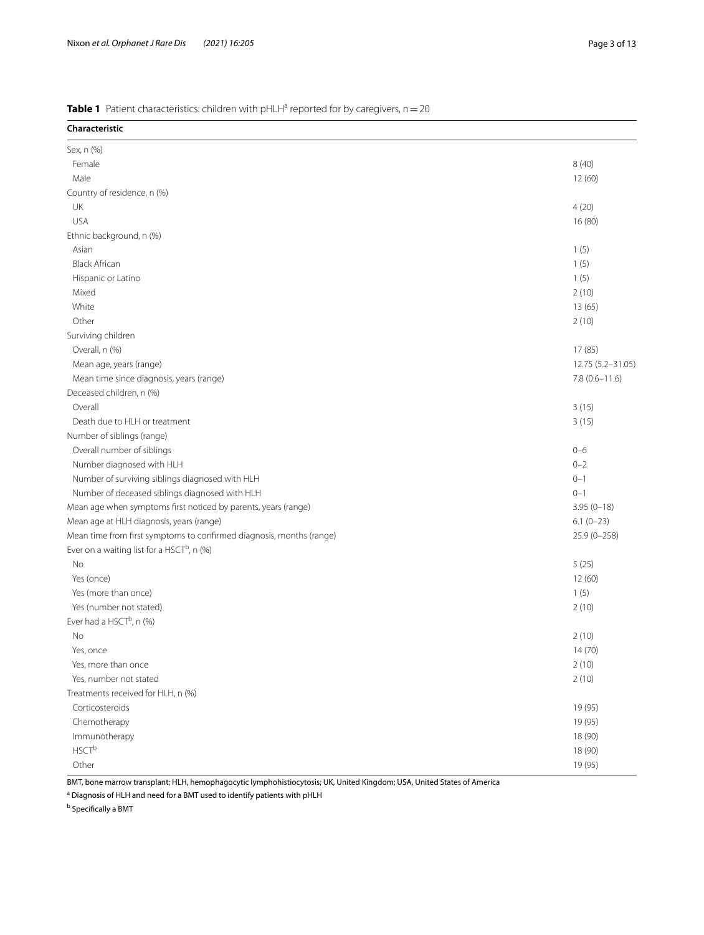## <span id="page-2-0"></span>**Table 1** Patient characteristics: children with pHLH<sup>a</sup> reported for by caregivers, n = 20

| Characteristic                                                       |                   |
|----------------------------------------------------------------------|-------------------|
| Sex, n (%)                                                           |                   |
| Female                                                               | 8(40)             |
| Male                                                                 | 12 (60)           |
| Country of residence, n (%)                                          |                   |
| UK                                                                   | 4(20)             |
| <b>USA</b>                                                           | 16 (80)           |
| Ethnic background, n (%)                                             |                   |
| Asian                                                                | 1(5)              |
| <b>Black African</b>                                                 | 1(5)              |
| Hispanic or Latino                                                   | 1(5)              |
| Mixed                                                                | 2(10)             |
| White                                                                | 13 (65)           |
| Other                                                                | 2(10)             |
| Surviving children                                                   |                   |
| Overall, n (%)                                                       | 17 (85)           |
| Mean age, years (range)                                              | 12.75 (5.2-31.05) |
| Mean time since diagnosis, years (range)                             | $7.8(0.6 - 11.6)$ |
| Deceased children, n (%)                                             |                   |
| Overall                                                              | 3(15)             |
| Death due to HLH or treatment                                        | 3(15)             |
| Number of siblings (range)                                           |                   |
| Overall number of siblings                                           | $0 - 6$           |
| Number diagnosed with HLH                                            | $0 - 2$           |
| Number of surviving siblings diagnosed with HLH                      | $0 - 1$           |
| Number of deceased siblings diagnosed with HLH                       | $0 - 1$           |
| Mean age when symptoms first noticed by parents, years (range)       | $3.95(0 - 18)$    |
| Mean age at HLH diagnosis, years (range)                             | $6.1(0-23)$       |
| Mean time from first symptoms to confirmed diagnosis, months (range) | $25.9(0 - 258)$   |
| Ever on a waiting list for a HSCT <sup>b</sup> , n (%)               |                   |
| No                                                                   | 5(25)             |
| Yes (once)                                                           | 12 (60)           |
| Yes (more than once)                                                 | 1(5)              |
| Yes (number not stated)                                              | 2(10)             |
| Ever had a HSCT <sup>b</sup> , n (%)                                 |                   |
| No                                                                   | 2(10)             |
| Yes, once                                                            | 14(70)            |
| Yes, more than once                                                  | 2(10)             |
| Yes, number not stated                                               | 2(10)             |
| Treatments received for HLH, n (%)                                   |                   |
| Corticosteroids                                                      | 19 (95)           |
| Chemotherapy                                                         | 19 (95)           |
| Immunotherapy                                                        | 18 (90)           |
| $HSCT^b$                                                             | 18 (90)           |
| Other                                                                | 19 (95)           |

BMT, bone marrow transplant; HLH, hemophagocytic lymphohistiocytosis; UK, United Kingdom; USA, United States of America

<sup>a</sup> Diagnosis of HLH and need for a BMT used to identify patients with pHLH

**b** Specifically a BMT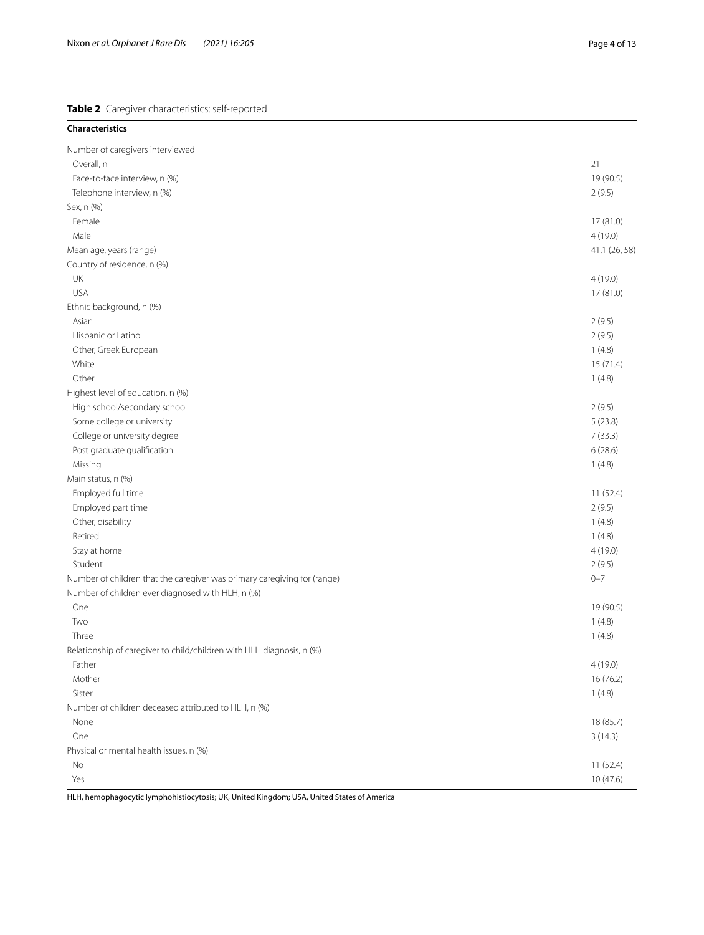<span id="page-3-0"></span>**Table 2** Caregiver characteristics: self-reported

| <b>Characteristics</b>                                                   |               |
|--------------------------------------------------------------------------|---------------|
| Number of caregivers interviewed                                         |               |
| Overall, n                                                               | 21            |
| Face-to-face interview, n (%)                                            | 19 (90.5)     |
| Telephone interview, n (%)                                               | 2(9.5)        |
| Sex, n (%)                                                               |               |
| Female                                                                   | 17 (81.0)     |
| Male                                                                     | 4(19.0)       |
| Mean age, years (range)                                                  | 41.1 (26, 58) |
| Country of residence, n (%)                                              |               |
| UK                                                                       | 4(19.0)       |
| <b>USA</b>                                                               | 17 (81.0)     |
| Ethnic background, n (%)                                                 |               |
| Asian                                                                    | 2(9.5)        |
| Hispanic or Latino                                                       | 2(9.5)        |
| Other, Greek European                                                    | 1(4.8)        |
| White                                                                    | 15 (71.4)     |
| Other                                                                    | 1(4.8)        |
| Highest level of education, n (%)                                        |               |
| High school/secondary school                                             | 2(9.5)        |
| Some college or university                                               | 5(23.8)       |
| College or university degree                                             | 7(33.3)       |
| Post graduate qualification                                              | 6(28.6)       |
| Missing                                                                  | 1(4.8)        |
| Main status, n (%)                                                       |               |
| Employed full time                                                       | 11(52.4)      |
| Employed part time                                                       | 2(9.5)        |
| Other, disability                                                        | 1(4.8)        |
| Retired                                                                  | 1(4.8)        |
| Stay at home                                                             | 4(19.0)       |
| Student                                                                  | 2(9.5)        |
| Number of children that the caregiver was primary caregiving for (range) | $0 - 7$       |
| Number of children ever diagnosed with HLH, n (%)                        |               |
| One                                                                      | 19 (90.5)     |
| Two                                                                      | 1(4.8)        |
| Three                                                                    | 1(4.8)        |
| Relationship of caregiver to child/children with HLH diagnosis, n (%)    |               |
| Father                                                                   | 4(19.0)       |
| Mother                                                                   | 16 (76.2)     |
| Sister                                                                   | 1(4.8)        |
| Number of children deceased attributed to HLH, n (%)                     |               |
| None                                                                     | 18 (85.7)     |
| One                                                                      | 3(14.3)       |
| Physical or mental health issues, n (%)                                  |               |
| No                                                                       | 11(52.4)      |
| Yes                                                                      | 10 (47.6)     |

HLH, hemophagocytic lymphohistiocytosis; UK, United Kingdom; USA, United States of America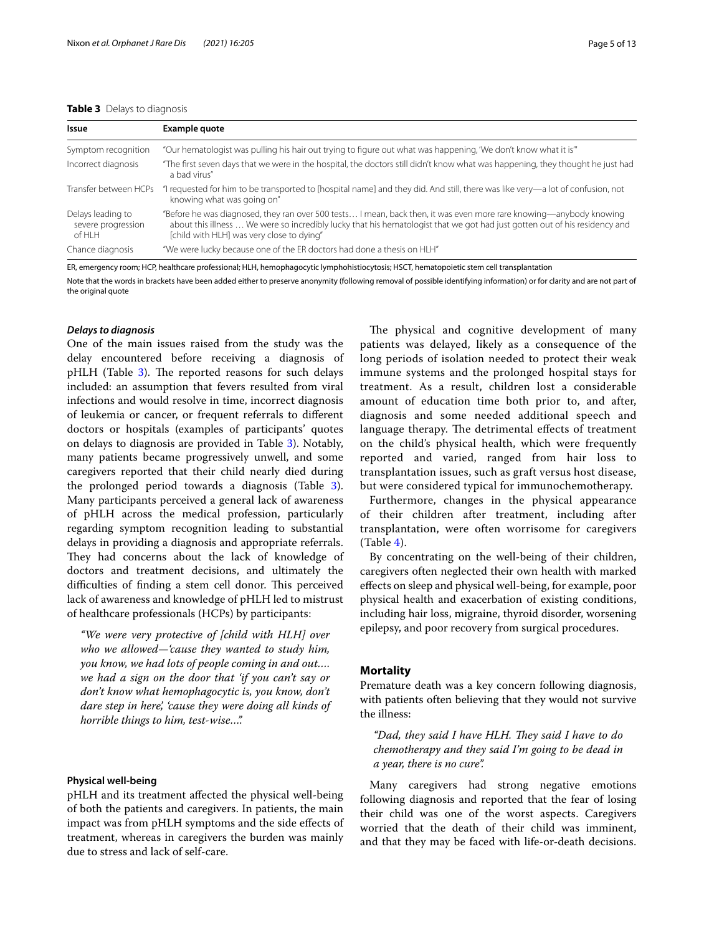#### <span id="page-4-0"></span>**Table 3** Delays to diagnosis

| Issue                                             | Example quote                                                                                                                                                                                                                                                                                 |
|---------------------------------------------------|-----------------------------------------------------------------------------------------------------------------------------------------------------------------------------------------------------------------------------------------------------------------------------------------------|
| Symptom recognition                               | "Our hematologist was pulling his hair out trying to figure out what was happening, 'We don't know what it is"                                                                                                                                                                                |
| Incorrect diagnosis                               | "The first seven days that we were in the hospital, the doctors still didn't know what was happening, they thought he just had<br>a bad virus"                                                                                                                                                |
| Transfer between HCPs                             | "I requested for him to be transported to [hospital name] and they did. And still, there was like very—a lot of confusion, not<br>knowing what was going on"                                                                                                                                  |
| Delays leading to<br>severe progression<br>of HLH | "Before he was diagnosed, they ran over 500 tests I mean, back then, it was even more rare knowing—anybody knowing<br>about this illness  We were so incredibly lucky that his hematologist that we got had just gotten out of his residency and<br>[child with HLH] was very close to dying" |
| Chance diagnosis                                  | "We were lucky because one of the ER doctors had done a thesis on HLH"                                                                                                                                                                                                                        |

ER, emergency room; HCP, healthcare professional; HLH, hemophagocytic lymphohistiocytosis; HSCT, hematopoietic stem cell transplantation

Note that the words in brackets have been added either to preserve anonymity (following removal of possible identifying information) or for clarity and are not part of the original quote

#### *Delays to diagnosis*

One of the main issues raised from the study was the delay encountered before receiving a diagnosis of pHLH (Table [3\)](#page-4-0). The reported reasons for such delays included: an assumption that fevers resulted from viral infections and would resolve in time, incorrect diagnosis of leukemia or cancer, or frequent referrals to diferent doctors or hospitals (examples of participants' quotes on delays to diagnosis are provided in Table [3\)](#page-4-0). Notably, many patients became progressively unwell, and some caregivers reported that their child nearly died during the prolonged period towards a diagnosis (Table [3](#page-4-0)). Many participants perceived a general lack of awareness of pHLH across the medical profession, particularly regarding symptom recognition leading to substantial delays in providing a diagnosis and appropriate referrals. They had concerns about the lack of knowledge of doctors and treatment decisions, and ultimately the difficulties of finding a stem cell donor. This perceived lack of awareness and knowledge of pHLH led to mistrust of healthcare professionals (HCPs) by participants:

*"We were very protective of [child with HLH] over who we allowed—'cause they wanted to study him, you know, we had lots of people coming in and out…. we had a sign on the door that 'if you can't say or don't know what hemophagocytic is, you know, don't dare step in here', 'cause they were doing all kinds of horrible things to him, test-wise…".*

#### **Physical well‑being**

pHLH and its treatment afected the physical well-being of both the patients and caregivers. In patients, the main impact was from pHLH symptoms and the side efects of treatment, whereas in caregivers the burden was mainly due to stress and lack of self-care.

The physical and cognitive development of many patients was delayed, likely as a consequence of the long periods of isolation needed to protect their weak immune systems and the prolonged hospital stays for treatment. As a result, children lost a considerable amount of education time both prior to, and after, diagnosis and some needed additional speech and language therapy. The detrimental effects of treatment on the child's physical health, which were frequently reported and varied, ranged from hair loss to transplantation issues, such as graft versus host disease, but were considered typical for immunochemotherapy.

Furthermore, changes in the physical appearance of their children after treatment, including after transplantation, were often worrisome for caregivers  $(Table 4).$  $(Table 4).$  $(Table 4).$ 

By concentrating on the well-being of their children, caregivers often neglected their own health with marked efects on sleep and physical well-being, for example, poor physical health and exacerbation of existing conditions, including hair loss, migraine, thyroid disorder, worsening epilepsy, and poor recovery from surgical procedures.

#### **Mortality**

Premature death was a key concern following diagnosis, with patients often believing that they would not survive the illness:

"Dad, they said I have HLH. They said I have to do *chemotherapy and they said I'm going to be dead in a year, there is no cure".*

Many caregivers had strong negative emotions following diagnosis and reported that the fear of losing their child was one of the worst aspects. Caregivers worried that the death of their child was imminent, and that they may be faced with life-or-death decisions.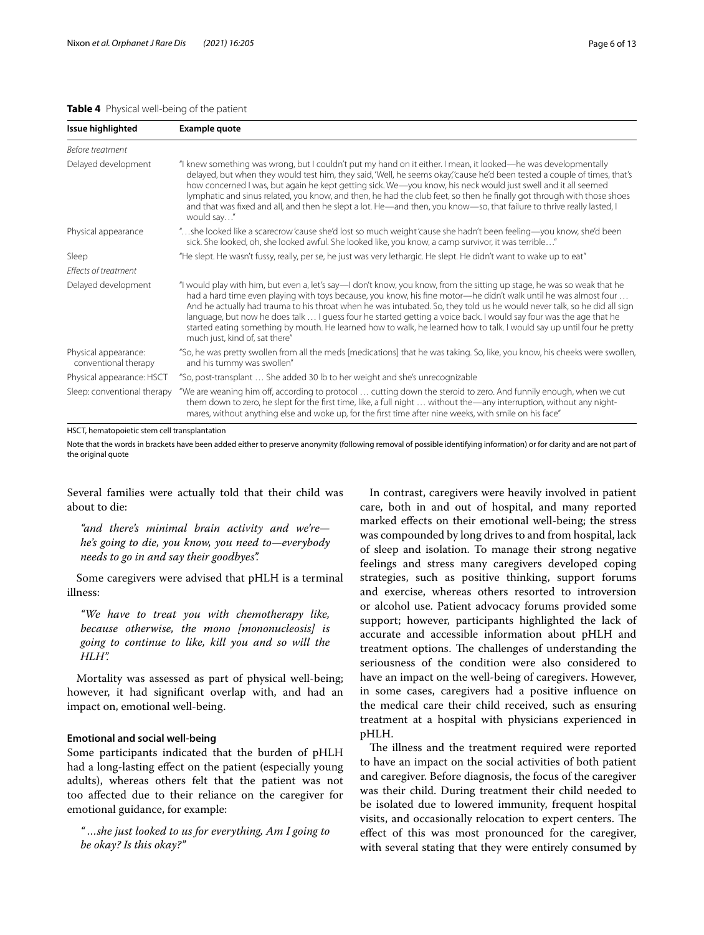#### <span id="page-5-0"></span>**Table 4** Physical well-being of the patient

| Issue highlighted                            | Example quote                                                                                                                                                                                                                                                                                                                                                                                                                                                                                                                                                                                                                                             |
|----------------------------------------------|-----------------------------------------------------------------------------------------------------------------------------------------------------------------------------------------------------------------------------------------------------------------------------------------------------------------------------------------------------------------------------------------------------------------------------------------------------------------------------------------------------------------------------------------------------------------------------------------------------------------------------------------------------------|
| <b>Before treatment</b>                      |                                                                                                                                                                                                                                                                                                                                                                                                                                                                                                                                                                                                                                                           |
| Delayed development                          | "I knew something was wrong, but I couldn't put my hand on it either. I mean, it looked—he was developmentally<br>delayed, but when they would test him, they said, 'Well, he seems okay,' cause he'd been tested a couple of times, that's<br>how concerned I was, but again he kept getting sick. We-you know, his neck would just swell and it all seemed<br>lymphatic and sinus related, you know, and then, he had the club feet, so then he finally got through with those shoes<br>and that was fixed and all, and then he slept a lot. He—and then, you know—so, that failure to thrive really lasted, I<br>would say"                            |
| Physical appearance                          | "she looked like a scarecrow 'cause she'd lost so much weight 'cause she hadn't been feeling—you know, she'd been<br>sick. She looked, oh, she looked awful. She looked like, you know, a camp survivor, it was terrible"                                                                                                                                                                                                                                                                                                                                                                                                                                 |
| Sleep                                        | "He slept. He wasn't fussy, really, per se, he just was very lethargic. He slept. He didn't want to wake up to eat"                                                                                                                                                                                                                                                                                                                                                                                                                                                                                                                                       |
| <b>Effects of treatment</b>                  |                                                                                                                                                                                                                                                                                                                                                                                                                                                                                                                                                                                                                                                           |
| Delayed development                          | "I would play with him, but even a, let's say-I don't know, you know, from the sitting up stage, he was so weak that he<br>had a hard time even playing with toys because, you know, his fine motor—he didn't walk until he was almost four<br>And he actually had trauma to his throat when he was intubated. So, they told us he would never talk, so he did all sign<br>language, but now he does talk  I quess four he started getting a voice back. I would say four was the age that he<br>started eating something by mouth. He learned how to walk, he learned how to talk. I would say up until four he pretty<br>much just, kind of, sat there" |
| Physical appearance:<br>conventional therapy | "So, he was pretty swollen from all the meds [medications] that he was taking. So, like, you know, his cheeks were swollen,<br>and his tummy was swollen"                                                                                                                                                                                                                                                                                                                                                                                                                                                                                                 |
| Physical appearance: HSCT                    | "So, post-transplant  She added 30 lb to her weight and she's unrecognizable                                                                                                                                                                                                                                                                                                                                                                                                                                                                                                                                                                              |
| Sleep: conventional therapy                  | "We are weaning him off, according to protocol  cutting down the steroid to zero. And funnily enough, when we cut<br>them down to zero, he slept for the first time, like, a full night  without the—any interruption, without any night-<br>mares, without anything else and woke up, for the first time after nine weeks, with smile on his face"                                                                                                                                                                                                                                                                                                       |

HSCT, hematopoietic stem cell transplantation

Note that the words in brackets have been added either to preserve anonymity (following removal of possible identifying information) or for clarity and are not part of the original quote

Several families were actually told that their child was about to die:

*"and there's minimal brain activity and we're he's going to die, you know, you need to—everybody needs to go in and say their goodbyes".*

Some caregivers were advised that pHLH is a terminal illness:

*"We have to treat you with chemotherapy like, because otherwise, the mono [mononucleosis] is going to continue to like, kill you and so will the HLH".*

Mortality was assessed as part of physical well-being; however, it had signifcant overlap with, and had an impact on, emotional well-being.

#### **Emotional and social well‑being**

Some participants indicated that the burden of pHLH had a long-lasting efect on the patient (especially young adults), whereas others felt that the patient was not too afected due to their reliance on the caregiver for emotional guidance, for example:

*" …she just looked to us for everything, Am I going to be okay? Is this okay?"*

In contrast, caregivers were heavily involved in patient care, both in and out of hospital, and many reported marked efects on their emotional well-being; the stress was compounded by long drives to and from hospital, lack of sleep and isolation. To manage their strong negative feelings and stress many caregivers developed coping strategies, such as positive thinking, support forums and exercise, whereas others resorted to introversion or alcohol use. Patient advocacy forums provided some support; however, participants highlighted the lack of accurate and accessible information about pHLH and treatment options. The challenges of understanding the seriousness of the condition were also considered to have an impact on the well-being of caregivers. However, in some cases, caregivers had a positive infuence on the medical care their child received, such as ensuring treatment at a hospital with physicians experienced in pHLH.

The illness and the treatment required were reported to have an impact on the social activities of both patient and caregiver. Before diagnosis, the focus of the caregiver was their child. During treatment their child needed to be isolated due to lowered immunity, frequent hospital visits, and occasionally relocation to expert centers. The efect of this was most pronounced for the caregiver, with several stating that they were entirely consumed by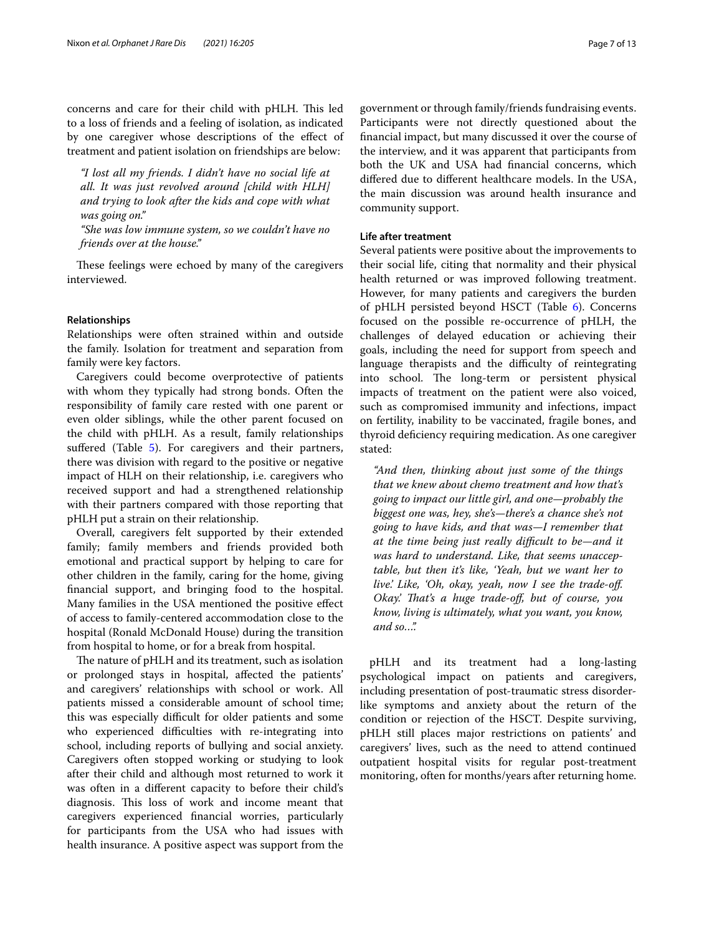concerns and care for their child with pHLH. This led to a loss of friends and a feeling of isolation, as indicated by one caregiver whose descriptions of the efect of treatment and patient isolation on friendships are below:

*"I lost all my friends. I didn't have no social life at all. It was just revolved around [child with HLH] and trying to look after the kids and cope with what was going on."*

*"She was low immune system, so we couldn't have no friends over at the house."*

These feelings were echoed by many of the caregivers interviewed.

#### **Relationships**

Relationships were often strained within and outside the family. Isolation for treatment and separation from family were key factors.

Caregivers could become overprotective of patients with whom they typically had strong bonds. Often the responsibility of family care rested with one parent or even older siblings, while the other parent focused on the child with pHLH. As a result, family relationships suffered (Table [5](#page-7-0)). For caregivers and their partners, there was division with regard to the positive or negative impact of HLH on their relationship, i.e. caregivers who received support and had a strengthened relationship with their partners compared with those reporting that pHLH put a strain on their relationship.

Overall, caregivers felt supported by their extended family; family members and friends provided both emotional and practical support by helping to care for other children in the family, caring for the home, giving fnancial support, and bringing food to the hospital. Many families in the USA mentioned the positive efect of access to family-centered accommodation close to the hospital (Ronald McDonald House) during the transition from hospital to home, or for a break from hospital.

The nature of pHLH and its treatment, such as isolation or prolonged stays in hospital, afected the patients' and caregivers' relationships with school or work. All patients missed a considerable amount of school time; this was especially difficult for older patients and some who experienced difficulties with re-integrating into school, including reports of bullying and social anxiety. Caregivers often stopped working or studying to look after their child and although most returned to work it was often in a diferent capacity to before their child's diagnosis. This loss of work and income meant that caregivers experienced fnancial worries, particularly for participants from the USA who had issues with health insurance. A positive aspect was support from the government or through family/friends fundraising events. Participants were not directly questioned about the fnancial impact, but many discussed it over the course of the interview, and it was apparent that participants from both the UK and USA had fnancial concerns, which difered due to diferent healthcare models. In the USA, the main discussion was around health insurance and community support.

#### **Life after treatment**

Several patients were positive about the improvements to their social life, citing that normality and their physical health returned or was improved following treatment. However, for many patients and caregivers the burden of pHLH persisted beyond HSCT (Table [6](#page-8-0)). Concerns focused on the possible re-occurrence of pHLH, the challenges of delayed education or achieving their goals, including the need for support from speech and language therapists and the difficulty of reintegrating into school. The long-term or persistent physical impacts of treatment on the patient were also voiced, such as compromised immunity and infections, impact on fertility, inability to be vaccinated, fragile bones, and thyroid defciency requiring medication. As one caregiver stated:

*"And then, thinking about just some of the things that we knew about chemo treatment and how that's going to impact our little girl, and one—probably the biggest one was, hey, she's—there's a chance she's not going to have kids, and that was—I remember that at the time being just really difcult to be—and it was hard to understand. Like, that seems unacceptable, but then it's like, 'Yeah, but we want her to live.' Like, 'Oh, okay, yeah, now I see the trade-of. Okay.' Tat's a huge trade-of, but of course, you know, living is ultimately, what you want, you know, and so…".*

pHLH and its treatment had a long-lasting psychological impact on patients and caregivers, including presentation of post-traumatic stress disorderlike symptoms and anxiety about the return of the condition or rejection of the HSCT. Despite surviving, pHLH still places major restrictions on patients' and caregivers' lives, such as the need to attend continued outpatient hospital visits for regular post-treatment monitoring, often for months/years after returning home.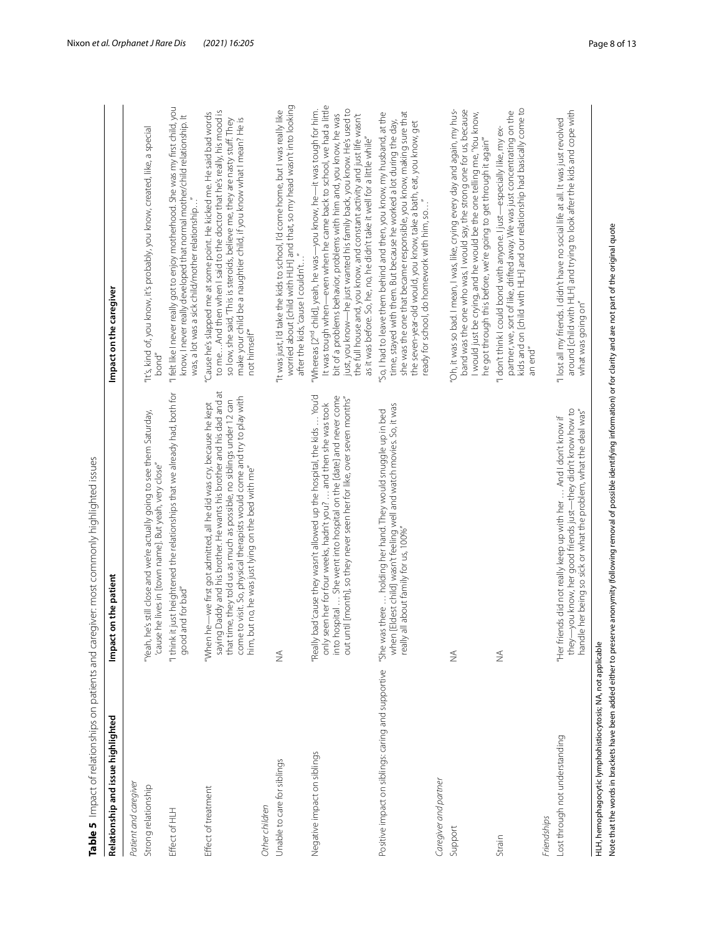| Relationship and issue highlighted                          | on the patient<br>Impact                                                                                                                                                                                                                                                                                                                              | Impact on the caregiver                                                                                                                                                                                                                                                                                                                                                                                                                                          |
|-------------------------------------------------------------|-------------------------------------------------------------------------------------------------------------------------------------------------------------------------------------------------------------------------------------------------------------------------------------------------------------------------------------------------------|------------------------------------------------------------------------------------------------------------------------------------------------------------------------------------------------------------------------------------------------------------------------------------------------------------------------------------------------------------------------------------------------------------------------------------------------------------------|
| Patient and caregiver                                       |                                                                                                                                                                                                                                                                                                                                                       |                                                                                                                                                                                                                                                                                                                                                                                                                                                                  |
| Strong relationship                                         | 'Yeah, he's still close and we're actually going to see them Saturday,<br>'cause he lives in [town name]. But yeah, very close"                                                                                                                                                                                                                       | "It's, kind of, you know, it's probably, you know, created, like, a special<br>bond"                                                                                                                                                                                                                                                                                                                                                                             |
| Effect of HLH                                               | "I think it just heightened the relationships that we already had, both for<br>good and for bad"                                                                                                                                                                                                                                                      | "I felt like I never really got to enjoy motherhood. She was my first child, you<br>know, I never really developed that normal mother/child relationship. It<br>was, a lot was a sick child/mother relationship.                                                                                                                                                                                                                                                 |
| Effect of treatment                                         | saying Daddy and his brother. He wants his brother and his dad and at<br>come to visit. So, physical therapists would come and try to play with<br>that time, they told us as much as possible, no siblings under 12 can<br>"When he-we first got admitted, all he did was cry, because he kept<br>him, but no, he was just lying on the bed with me" | to meAnd then when I said to the doctor that he's really, his mood is<br>Cause he's slapped me at some point. He kicked me. He said bad words<br>make your child be a naughtier child, if you know what I mean? He is<br>so low, she said, 'This is steroids, believe me, they are nasty stuff. They<br>not himself <sup>"</sup>                                                                                                                                 |
| Other children                                              |                                                                                                                                                                                                                                                                                                                                                       |                                                                                                                                                                                                                                                                                                                                                                                                                                                                  |
| Unable to care for siblings                                 | $\stackrel{\triangle}{\geq}$                                                                                                                                                                                                                                                                                                                          | worried about [child with HLH] and that, so my head wasn't into looking<br>It was just, I'd take the kids to school, I'd come home, but I was really like<br>after the kids, cause I couldn't                                                                                                                                                                                                                                                                    |
| Negative impact on siblings                                 | "Really bad'cause they wasn't allowed up the hospital, the kids  You'd<br>into hospital  She went into hospital on the [date] and never come<br>out until [month], so they never seen her for like, over seven months"<br>only seen her for four weeks, hadn't you?  and then she was took                                                            | It was tough when—even when he came back to school, we had a little<br>just, you know—he just wanted his family back, you know. He's used to<br>"Whereas [2 <sup>nd</sup> child], yeah, he was—you know, he—it was tough for him.<br>bit of a problems behavior, problems with him and, you know, he was<br>the full house and, you know, and constant activity and just life wasn't<br>as it was before. So, he, no, he didn't take it well for a little while" |
| Positive impact on siblings: caring and supportive          | [Eldest child] wasn't feeling well and watch movies. So, it was<br>"She was there  holding her hand. They would snuggle up in bed<br>really all about family for us, 100%"<br>when                                                                                                                                                                    | she was the one that became responsible, you know, making sure that<br>"So, I had to leave them behind and then, you know, my husband, at the<br>time, stayed with them. But because he worked a lot during the day,<br>the seven-year-old would, you know, take a bath, eat, you know, get<br>ready for school, do homework with him, so"                                                                                                                       |
| Caregiver and partner                                       |                                                                                                                                                                                                                                                                                                                                                       |                                                                                                                                                                                                                                                                                                                                                                                                                                                                  |
| Support                                                     | $\frac{1}{2}$                                                                                                                                                                                                                                                                                                                                         | 'Oh, it was so bad. I mean, I was, like, crying every day and again, my hus-<br>band was the one who was, I would say, the strong one for us, because<br>I would just be crying, and he would be the one telling me, 'You know,<br>he got through this before, we're going to get through it again"                                                                                                                                                              |
| Strain                                                      | $\stackrel{\triangle}{\geq}$                                                                                                                                                                                                                                                                                                                          | kids and on [child with HLH] and our relationship had basically come to<br>partner, we, sort of like, drifted away. We was just concentrating on the<br>"I don't think I could bond with anyone. I just—especially like, my ex-<br>an end"                                                                                                                                                                                                                       |
| Friendships                                                 |                                                                                                                                                                                                                                                                                                                                                       |                                                                                                                                                                                                                                                                                                                                                                                                                                                                  |
| Lost through not understanding                              | "Her friends did not really keep up with her  And I don't know if<br>they—you know, her good friends just—they didn't know how to<br>handle her being so sick or what the problem, what the deal was"                                                                                                                                                 | around [child with HLH] and trying to look after the kids and cope with<br>"I lost all my friends. I didn't have no social life at all. It was just revolved<br>what was going on"                                                                                                                                                                                                                                                                               |
| HLH, hemophagocytic lymphohistiocytosis; NA, not applicable | Note that the words in brackets have been added either to preserve anonymity (following removal of possible identifying information) or for clarity and are not part of the original quote                                                                                                                                                            |                                                                                                                                                                                                                                                                                                                                                                                                                                                                  |

<span id="page-7-0"></span>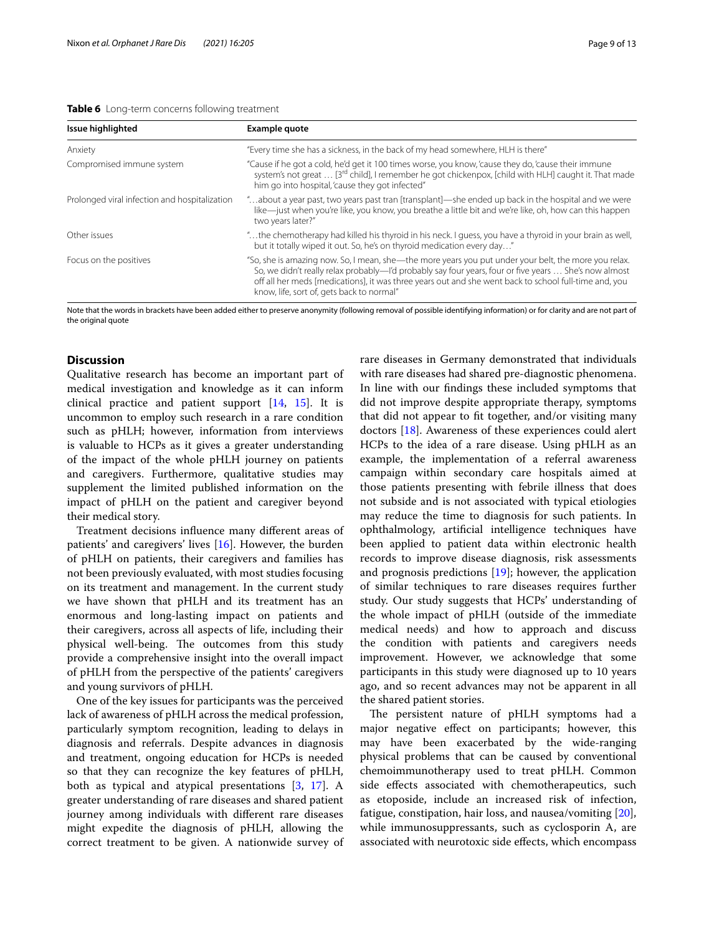<span id="page-8-0"></span>**Table 6** Long-term concerns following treatment

| Issue highlighted                             | Example quote                                                                                                                                                                                                                                                                                                                                                       |
|-----------------------------------------------|---------------------------------------------------------------------------------------------------------------------------------------------------------------------------------------------------------------------------------------------------------------------------------------------------------------------------------------------------------------------|
| Anxiety                                       | "Every time she has a sickness, in the back of my head somewhere, HLH is there"                                                                                                                                                                                                                                                                                     |
| Compromised immune system                     | "Cause if he got a cold, he'd get it 100 times worse, you know, 'cause they do, 'cause their immune<br>system's not great  [3 <sup>rd</sup> child], I remember he got chickenpox, [child with HLH] caught it. That made<br>him go into hospital, 'cause they got infected"                                                                                          |
| Prolonged viral infection and hospitalization | about a year past, two years past tran [transplant]—she ended up back in the hospital and we were"<br>like-just when you're like, you know, you breathe a little bit and we're like, oh, how can this happen<br>two years later?"                                                                                                                                   |
| Other issues                                  | "the chemotherapy had killed his thyroid in his neck. I guess, you have a thyroid in your brain as well,<br>but it totally wiped it out. So, he's on thyroid medication every day"                                                                                                                                                                                  |
| Focus on the positives                        | "So, she is amazing now. So, I mean, she—the more years you put under your belt, the more you relax.<br>So, we didn't really relax probably—I'd probably say four years, four or five years  She's now almost<br>off all her meds [medications], it was three years out and she went back to school full-time and, you<br>know, life, sort of, gets back to normal" |

Note that the words in brackets have been added either to preserve anonymity (following removal of possible identifying information) or for clarity and are not part of the original quote

#### **Discussion**

Qualitative research has become an important part of medical investigation and knowledge as it can inform clinical practice and patient support [[14](#page-12-12), [15](#page-12-13)]. It is uncommon to employ such research in a rare condition such as pHLH; however, information from interviews is valuable to HCPs as it gives a greater understanding of the impact of the whole pHLH journey on patients and caregivers. Furthermore, qualitative studies may supplement the limited published information on the impact of pHLH on the patient and caregiver beyond their medical story.

Treatment decisions infuence many diferent areas of patients' and caregivers' lives [\[16](#page-12-14)]. However, the burden of pHLH on patients, their caregivers and families has not been previously evaluated, with most studies focusing on its treatment and management. In the current study we have shown that pHLH and its treatment has an enormous and long-lasting impact on patients and their caregivers, across all aspects of life, including their physical well-being. The outcomes from this study provide a comprehensive insight into the overall impact of pHLH from the perspective of the patients' caregivers and young survivors of pHLH.

One of the key issues for participants was the perceived lack of awareness of pHLH across the medical profession, particularly symptom recognition, leading to delays in diagnosis and referrals. Despite advances in diagnosis and treatment, ongoing education for HCPs is needed so that they can recognize the key features of pHLH, both as typical and atypical presentations [\[3,](#page-12-15) [17\]](#page-12-16). A greater understanding of rare diseases and shared patient journey among individuals with diferent rare diseases might expedite the diagnosis of pHLH, allowing the correct treatment to be given. A nationwide survey of rare diseases in Germany demonstrated that individuals with rare diseases had shared pre-diagnostic phenomena. In line with our fndings these included symptoms that did not improve despite appropriate therapy, symptoms that did not appear to ft together, and/or visiting many doctors [\[18\]](#page-12-17). Awareness of these experiences could alert HCPs to the idea of a rare disease. Using pHLH as an example, the implementation of a referral awareness campaign within secondary care hospitals aimed at those patients presenting with febrile illness that does not subside and is not associated with typical etiologies may reduce the time to diagnosis for such patients. In ophthalmology, artifcial intelligence techniques have been applied to patient data within electronic health records to improve disease diagnosis, risk assessments and prognosis predictions  $[19]$  $[19]$ ; however, the application of similar techniques to rare diseases requires further study. Our study suggests that HCPs' understanding of the whole impact of pHLH (outside of the immediate medical needs) and how to approach and discuss the condition with patients and caregivers needs improvement. However, we acknowledge that some participants in this study were diagnosed up to 10 years ago, and so recent advances may not be apparent in all the shared patient stories.

The persistent nature of pHLH symptoms had a major negative efect on participants; however, this may have been exacerbated by the wide-ranging physical problems that can be caused by conventional chemoimmunotherapy used to treat pHLH. Common side efects associated with chemotherapeutics, such as etoposide, include an increased risk of infection, fatigue, constipation, hair loss, and nausea/vomiting [\[20](#page-12-19)], while immunosuppressants, such as cyclosporin A, are associated with neurotoxic side efects, which encompass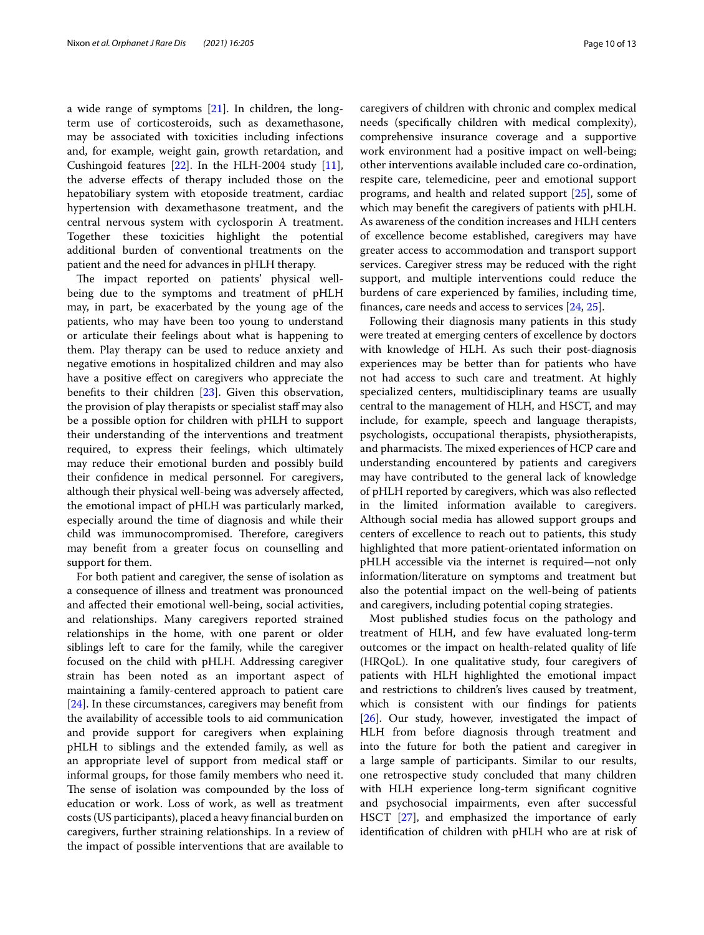a wide range of symptoms [[21](#page-12-20)]. In children, the longterm use of corticosteroids, such as dexamethasone, may be associated with toxicities including infections and, for example, weight gain, growth retardation, and Cushingoid features [[22\]](#page-12-21). In the HLH-2004 study [\[11](#page-12-9)], the adverse efects of therapy included those on the hepatobiliary system with etoposide treatment, cardiac hypertension with dexamethasone treatment, and the central nervous system with cyclosporin A treatment. Together these toxicities highlight the potential additional burden of conventional treatments on the patient and the need for advances in pHLH therapy.

The impact reported on patients' physical wellbeing due to the symptoms and treatment of pHLH may, in part, be exacerbated by the young age of the patients, who may have been too young to understand or articulate their feelings about what is happening to them. Play therapy can be used to reduce anxiety and negative emotions in hospitalized children and may also have a positive effect on caregivers who appreciate the benefts to their children [[23\]](#page-12-22). Given this observation, the provision of play therapists or specialist staff may also be a possible option for children with pHLH to support their understanding of the interventions and treatment required, to express their feelings, which ultimately may reduce their emotional burden and possibly build their confdence in medical personnel. For caregivers, although their physical well-being was adversely afected, the emotional impact of pHLH was particularly marked, especially around the time of diagnosis and while their child was immunocompromised. Therefore, caregivers may beneft from a greater focus on counselling and support for them.

For both patient and caregiver, the sense of isolation as a consequence of illness and treatment was pronounced and afected their emotional well-being, social activities, and relationships. Many caregivers reported strained relationships in the home, with one parent or older siblings left to care for the family, while the caregiver focused on the child with pHLH. Addressing caregiver strain has been noted as an important aspect of maintaining a family-centered approach to patient care [[24\]](#page-12-23). In these circumstances, caregivers may beneft from the availability of accessible tools to aid communication and provide support for caregivers when explaining pHLH to siblings and the extended family, as well as an appropriate level of support from medical staf or informal groups, for those family members who need it. The sense of isolation was compounded by the loss of education or work. Loss of work, as well as treatment costs (US participants), placed a heavy fnancial burden on caregivers, further straining relationships. In a review of the impact of possible interventions that are available to

caregivers of children with chronic and complex medical needs (specifcally children with medical complexity), comprehensive insurance coverage and a supportive work environment had a positive impact on well-being; other interventions available included care co-ordination, respite care, telemedicine, peer and emotional support programs, and health and related support [[25](#page-12-24)], some of which may beneft the caregivers of patients with pHLH. As awareness of the condition increases and HLH centers of excellence become established, caregivers may have greater access to accommodation and transport support services. Caregiver stress may be reduced with the right support, and multiple interventions could reduce the burdens of care experienced by families, including time, fnances, care needs and access to services [\[24,](#page-12-23) [25](#page-12-24)].

Following their diagnosis many patients in this study were treated at emerging centers of excellence by doctors with knowledge of HLH. As such their post-diagnosis experiences may be better than for patients who have not had access to such care and treatment. At highly specialized centers, multidisciplinary teams are usually central to the management of HLH, and HSCT, and may include, for example, speech and language therapists, psychologists, occupational therapists, physiotherapists, and pharmacists. The mixed experiences of HCP care and understanding encountered by patients and caregivers may have contributed to the general lack of knowledge of pHLH reported by caregivers, which was also refected in the limited information available to caregivers. Although social media has allowed support groups and centers of excellence to reach out to patients, this study highlighted that more patient-orientated information on pHLH accessible via the internet is required—not only information/literature on symptoms and treatment but also the potential impact on the well-being of patients and caregivers, including potential coping strategies.

Most published studies focus on the pathology and treatment of HLH, and few have evaluated long-term outcomes or the impact on health-related quality of life (HRQoL). In one qualitative study, four caregivers of patients with HLH highlighted the emotional impact and restrictions to children's lives caused by treatment, which is consistent with our fndings for patients  $[26]$  $[26]$ . Our study, however, investigated the impact of HLH from before diagnosis through treatment and into the future for both the patient and caregiver in a large sample of participants. Similar to our results, one retrospective study concluded that many children with HLH experience long-term signifcant cognitive and psychosocial impairments, even after successful HSCT [\[27](#page-12-26)], and emphasized the importance of early identifcation of children with pHLH who are at risk of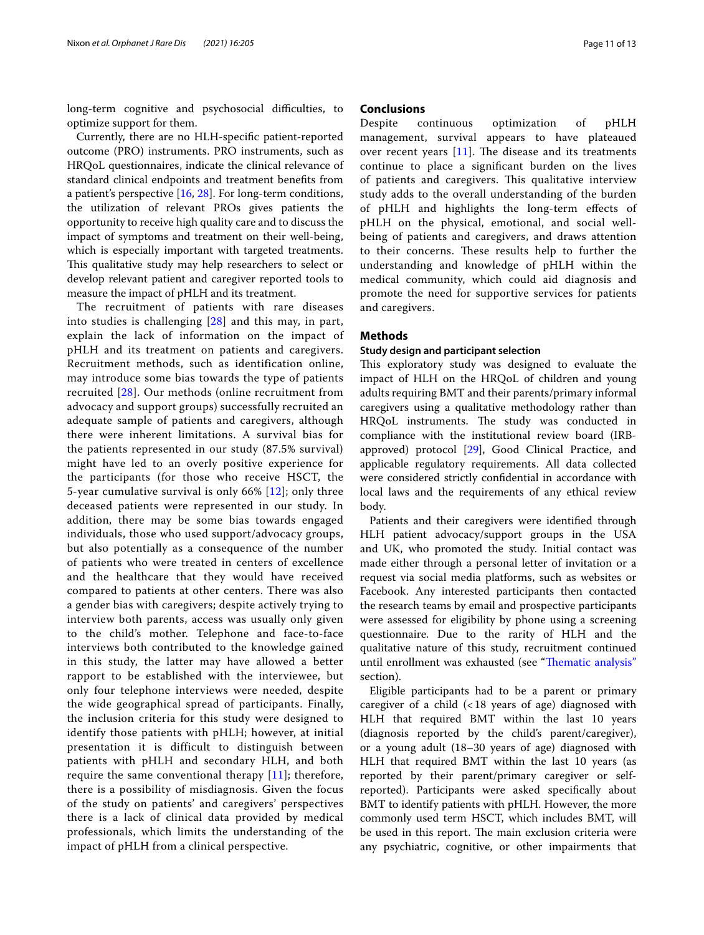long-term cognitive and psychosocial difficulties, to optimize support for them.

Currently, there are no HLH-specifc patient-reported outcome (PRO) instruments. PRO instruments, such as HRQoL questionnaires, indicate the clinical relevance of standard clinical endpoints and treatment benefts from a patient's perspective [[16](#page-12-14), [28\]](#page-12-27). For long-term conditions, the utilization of relevant PROs gives patients the opportunity to receive high quality care and to discuss the impact of symptoms and treatment on their well-being, which is especially important with targeted treatments. This qualitative study may help researchers to select or develop relevant patient and caregiver reported tools to measure the impact of pHLH and its treatment.

The recruitment of patients with rare diseases into studies is challenging [[28](#page-12-27)] and this may, in part, explain the lack of information on the impact of pHLH and its treatment on patients and caregivers. Recruitment methods, such as identification online, may introduce some bias towards the type of patients recruited [[28\]](#page-12-27). Our methods (online recruitment from advocacy and support groups) successfully recruited an adequate sample of patients and caregivers, although there were inherent limitations. A survival bias for the patients represented in our study (87.5% survival) might have led to an overly positive experience for the participants (for those who receive HSCT, the 5-year cumulative survival is only 66% [[12](#page-12-10)]; only three deceased patients were represented in our study. In addition, there may be some bias towards engaged individuals, those who used support/advocacy groups, but also potentially as a consequence of the number of patients who were treated in centers of excellence and the healthcare that they would have received compared to patients at other centers. There was also a gender bias with caregivers; despite actively trying to interview both parents, access was usually only given to the child's mother. Telephone and face-to-face interviews both contributed to the knowledge gained in this study, the latter may have allowed a better rapport to be established with the interviewee, but only four telephone interviews were needed, despite the wide geographical spread of participants. Finally, the inclusion criteria for this study were designed to identify those patients with pHLH; however, at initial presentation it is difficult to distinguish between patients with pHLH and secondary HLH, and both require the same conventional therapy  $[11]$  $[11]$  $[11]$ ; therefore, there is a possibility of misdiagnosis. Given the focus of the study on patients' and caregivers' perspectives there is a lack of clinical data provided by medical professionals, which limits the understanding of the impact of pHLH from a clinical perspective.

#### **Conclusions**

Despite continuous optimization of pHLH management, survival appears to have plateaued over recent years  $[11]$  $[11]$ . The disease and its treatments continue to place a signifcant burden on the lives of patients and caregivers. This qualitative interview study adds to the overall understanding of the burden of pHLH and highlights the long-term efects of pHLH on the physical, emotional, and social wellbeing of patients and caregivers, and draws attention to their concerns. These results help to further the understanding and knowledge of pHLH within the medical community, which could aid diagnosis and promote the need for supportive services for patients and caregivers.

#### **Methods**

#### **Study design and participant selection**

This exploratory study was designed to evaluate the impact of HLH on the HRQoL of children and young adults requiring BMT and their parents/primary informal caregivers using a qualitative methodology rather than HRQoL instruments. The study was conducted in compliance with the institutional review board (IRBapproved) protocol [\[29](#page-12-28)], Good Clinical Practice, and applicable regulatory requirements. All data collected were considered strictly confdential in accordance with local laws and the requirements of any ethical review body.

Patients and their caregivers were identifed through HLH patient advocacy/support groups in the USA and UK, who promoted the study. Initial contact was made either through a personal letter of invitation or a request via social media platforms, such as websites or Facebook. Any interested participants then contacted the research teams by email and prospective participants were assessed for eligibility by phone using a screening questionnaire. Due to the rarity of HLH and the qualitative nature of this study, recruitment continued until enrollment was exhausted (see "Thematic analysis" section).

Eligible participants had to be a parent or primary caregiver of a child  $($  < 18 years of age) diagnosed with HLH that required BMT within the last 10 years (diagnosis reported by the child's parent/caregiver), or a young adult (18–30 years of age) diagnosed with HLH that required BMT within the last 10 years (as reported by their parent/primary caregiver or selfreported). Participants were asked specifcally about BMT to identify patients with pHLH. However, the more commonly used term HSCT, which includes BMT, will be used in this report. The main exclusion criteria were any psychiatric, cognitive, or other impairments that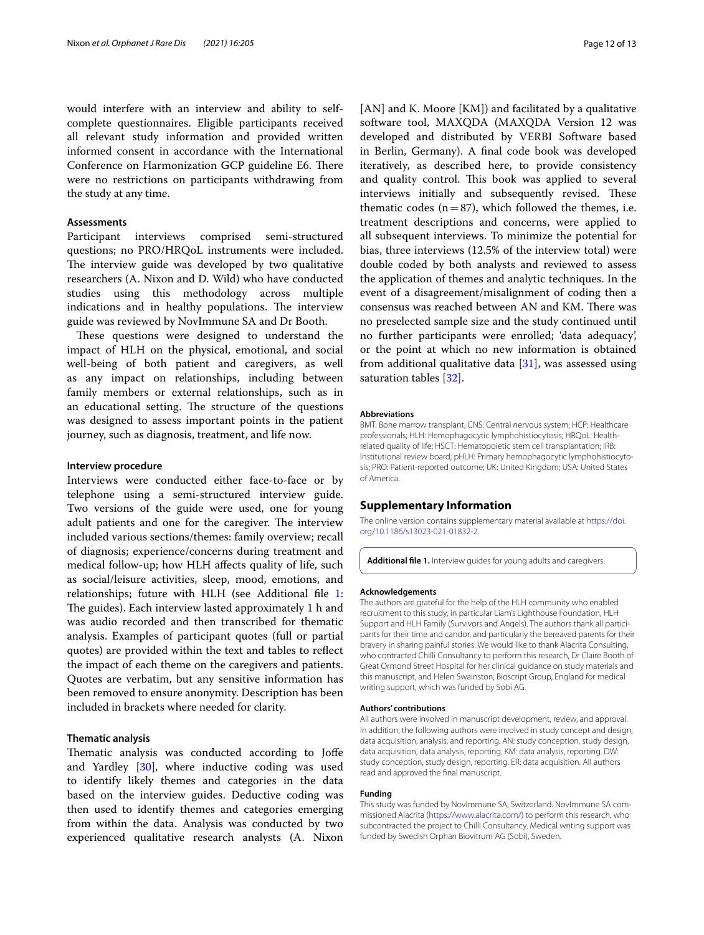would interfere with an interview and ability to selfcomplete questionnaires. Eligible participants received all relevant study information and provided written informed consent in accordance with the International Conference on Harmonization GCP guideline E6. There were no restrictions on participants withdrawing from the study at any time.

#### **Assessments**

Participant interviews comprised semi-structured questions; no PRO/HRQoL instruments were included. The interview guide was developed by two qualitative researchers (A. Nixon and D. Wild) who have conducted studies using this methodology across multiple indications and in healthy populations. The interview guide was reviewed by NovImmune SA and Dr Booth.

These questions were designed to understand the impact of HLH on the physical, emotional, and social well-being of both patient and caregivers, as well as any impact on relationships, including between family members or external relationships, such as in an educational setting. The structure of the questions was designed to assess important points in the patient journey, such as diagnosis, treatment, and life now.

#### **Interview procedure**

Interviews were conducted either face-to-face or by telephone using a semi-structured interview guide. Two versions of the guide were used, one for young adult patients and one for the caregiver. The interview included various sections/themes: family overview; recall of diagnosis; experience/concerns during treatment and medical follow-up; how HLH afects quality of life, such as social/leisure activities, sleep, mood, emotions, and relationships; future with HLH (see Additional file [1](#page-11-0): The guides). Each interview lasted approximately 1 h and was audio recorded and then transcribed for thematic analysis. Examples of participant quotes (full or partial quotes) are provided within the text and tables to refect the impact of each theme on the caregivers and patients. Quotes are verbatim, but any sensitive information has been removed to ensure anonymity. Description has been included in brackets where needed for clarity.

#### **Thematic analysis**

Thematic analysis was conducted according to Joffe and Yardley [\[30](#page-12-29)], where inductive coding was used to identify likely themes and categories in the data based on the interview guides. Deductive coding was then used to identify themes and categories emerging from within the data. Analysis was conducted by two experienced qualitative research analysts (A. Nixon [AN] and K. Moore [KM]) and facilitated by a qualitative software tool, MAXQDA (MAXQDA Version 12 was developed and distributed by VERBI Software based in Berlin, Germany). A fnal code book was developed iteratively, as described here, to provide consistency and quality control. This book was applied to several interviews initially and subsequently revised. These thematic codes  $(n=87)$ , which followed the themes, i.e. treatment descriptions and concerns, were applied to all subsequent interviews. To minimize the potential for bias, three interviews (12.5% of the interview total) were double coded by both analysts and reviewed to assess the application of themes and analytic techniques. In the event of a disagreement/misalignment of coding then a consensus was reached between AN and KM. There was no preselected sample size and the study continued until no further participants were enrolled; 'data adequacy', or the point at which no new information is obtained from additional qualitative data  $[31]$ , was assessed using saturation tables [[32](#page-12-31)].

#### **Abbreviations**

BMT: Bone marrow transplant; CNS: Central nervous system; HCP: Healthcare professionals; HLH: Hemophagocytic lymphohistiocytosis; HRQoL: Healthrelated quality of life; HSCT: Hematopoietic stem cell transplantation; IRB: Institutional review board; pHLH: Primary hemophagocytic lymphohistiocytosis; PRO: Patient-reported outcome; UK: United Kingdom; USA: United States of America.

#### **Supplementary Information**

The online version contains supplementary material available at [https://doi.](https://doi.org/10.1186/s13023-021-01832-2) [org/10.1186/s13023-021-01832-2](https://doi.org/10.1186/s13023-021-01832-2).

<span id="page-11-0"></span>**Additional fle 1.** Interview guides for young adults and caregivers.

#### **Acknowledgements**

The authors are grateful for the help of the HLH community who enabled recruitment to this study, in particular Liam's Lighthouse Foundation, HLH Support and HLH Family (Survivors and Angels). The authors thank all participants for their time and candor, and particularly the bereaved parents for their bravery in sharing painful stories. We would like to thank Alacrita Consulting, who contracted Chilli Consultancy to perform this research, Dr Claire Booth of Great Ormond Street Hospital for her clinical guidance on study materials and this manuscript, and Helen Swainston, Bioscript Group, England for medical writing support, which was funded by Sobi AG.

#### **Authors' contributions**

All authors were involved in manuscript development, review, and approval. In addition, the following authors were involved in study concept and design, data acquisition, analysis, and reporting. AN: study conception, study design, data acquisition, data analysis, reporting. KM: data analysis, reporting. DW: study conception, study design, reporting. ER: data acquisition. All authors read and approved the fnal manuscript.

#### **Funding**

This study was funded by NovImmune SA, Switzerland. NovImmune SA commissioned Alacrita (<https://www.alacrita.com/>) to perform this research, who subcontracted the project to Chilli Consultancy. Medical writing support was funded by Swedish Orphan Biovitrum AG (Sobi), Sweden.